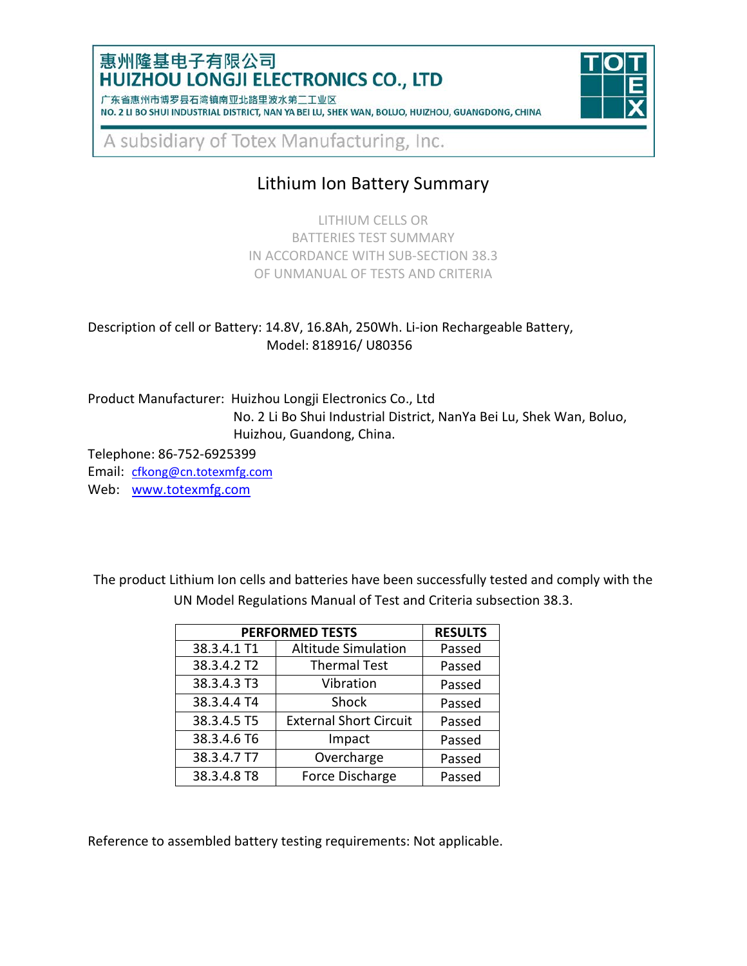### 惠州隆基电子有限公司 **HUIZHOU LONGJI ELECTRONICS CO., LTD**

| / 朱省惠州市博岁县石湾镇南业北路里波水弟___业区                                                                      |  |  |  |  |  |  |
|-------------------------------------------------------------------------------------------------|--|--|--|--|--|--|
| NO. 2 LI BO SHUI INDUSTRIAL DISTRICT, NAN YA BEI LU, SHEK WAN, BOLUO, HUIZHOU, GUANGDONG, CHINA |  |  |  |  |  |  |



A subsidiary of Totex Manufacturing, Inc.

# Lithium Ion Battery Summary

LITHIUM CELLS OR BATTERIES TEST SUMMARY IN ACCORDANCE WITH SUB-SECTION 38.3 OF UNMANUAL OF TESTS AND CRITERIA

#### Description of cell or Battery: 14.8V, 16.8Ah, 250Wh. Li-ion Rechargeable Battery, Model: 818916/ U80356

Product Manufacturer: Huizhou Longji Electronics Co., Ltd No. 2 Li Bo Shui Industrial District, NanYa Bei Lu, Shek Wan, Boluo, Huizhou, Guandong, China.

Telephone: 86-752-6925399

Email: [cfkong@cn.totexmfg.com](mailto:cfkong@cn.totexmfg.com)

Web: [www.totexmfg.com](http://www.totexmfg.com/)

The product Lithium Ion cells and batteries have been successfully tested and comply with the UN Model Regulations Manual of Test and Criteria subsection 38.3.

| <b>PERFORMED TESTS</b> | <b>RESULTS</b>                |        |
|------------------------|-------------------------------|--------|
| 38.3.4.1 T1            | <b>Altitude Simulation</b>    | Passed |
| 38.3.4.2 T2            | <b>Thermal Test</b>           | Passed |
| 38.3.4.3 T3            | Vibration                     | Passed |
| 38.3.4.4 T4            | Shock                         | Passed |
| 38.3.4.5 T5            | <b>External Short Circuit</b> | Passed |
| 38.3.4.6 T6            | Impact                        | Passed |
| 38.3.4.7 T7            | Overcharge                    | Passed |
| 38.3.4.8 T8            | Force Discharge               | Passed |

Reference to assembled battery testing requirements: Not applicable.